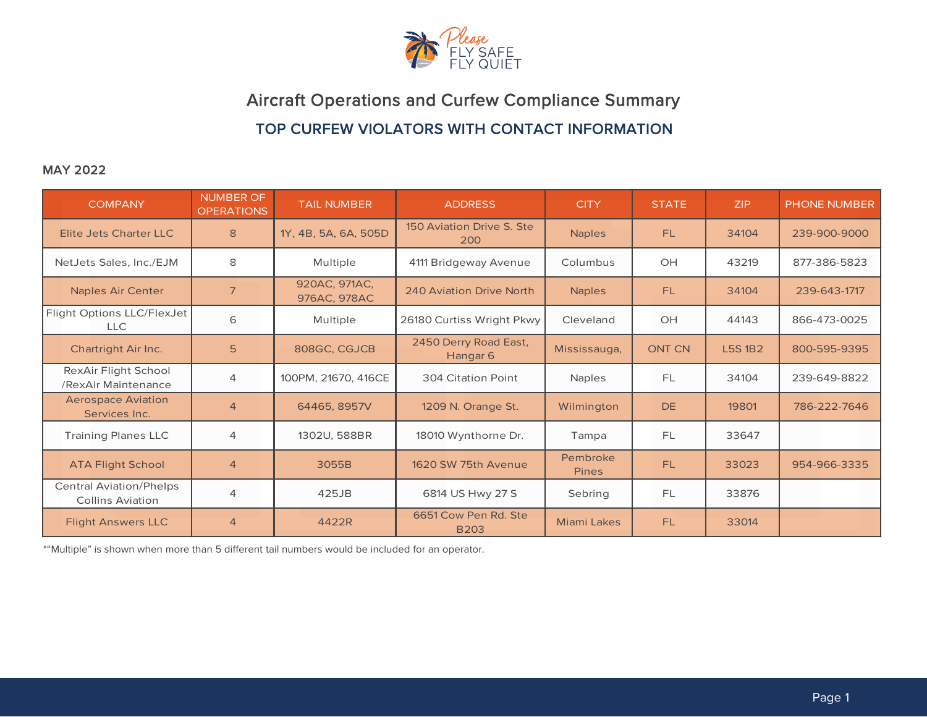

# Aircraft Operations and Curfew Compliance Summary TOP CURFEW VIOLATORS WITH CONTACT INFORMATION

### MAY 2022

| <b>COMPANY</b>                                            | <b>NUMBER OF</b><br><b>OPERATIONS</b> | <b>TAIL NUMBER</b>            | <b>ADDRESS</b>                               | <b>CITY</b>              | <b>STATE</b>  | <b>ZIP</b>    | <b>PHONE NUMBER</b> |
|-----------------------------------------------------------|---------------------------------------|-------------------------------|----------------------------------------------|--------------------------|---------------|---------------|---------------------|
| Elite Jets Charter LLC                                    | 8                                     | 1Y, 4B, 5A, 6A, 505D          | 150 Aviation Drive S. Ste<br>200             | <b>Naples</b>            | <b>FL</b>     | 34104         | 239-900-9000        |
| NetJets Sales, Inc./EJM                                   | 8                                     | Multiple                      | 4111 Bridgeway Avenue                        | Columbus                 | OH            | 43219         | 877-386-5823        |
| <b>Naples Air Center</b>                                  | $\overline{7}$                        | 920AC, 971AC,<br>976AC, 978AC | 240 Aviation Drive North                     | <b>Naples</b>            | FL.           | 34104         | 239-643-1717        |
| Flight Options LLC/FlexJet<br>LLC                         | 6                                     | Multiple                      | 26180 Curtiss Wright Pkwy                    | Cleveland                | OH            | 44143         | 866-473-0025        |
| Chartright Air Inc.                                       | 5                                     | 808GC, CGJCB                  | 2450 Derry Road East,<br>Hangar <sub>6</sub> | Mississauga,             | <b>ONT CN</b> | <b>L5S1B2</b> | 800-595-9395        |
| RexAir Flight School<br>/RexAir Maintenance               | 4                                     | 100PM, 21670, 416CE           | 304 Citation Point                           | <b>Naples</b>            | <b>FL</b>     | 34104         | 239-649-8822        |
| <b>Aerospace Aviation</b><br>Services Inc.                | $\overline{4}$                        | 64465, 8957V                  | 1209 N. Orange St.                           | Wilmington               | <b>DE</b>     | 19801         | 786-222-7646        |
| <b>Training Planes LLC</b>                                | 4                                     | 1302U, 588BR                  | 18010 Wynthorne Dr.                          | Tampa                    | <b>FL</b>     | 33647         |                     |
| <b>ATA Flight School</b>                                  | $\overline{4}$                        | 3055B                         | 1620 SW 75th Avenue                          | Pembroke<br><b>Pines</b> | <b>FL</b>     | 33023         | 954-966-3335        |
| <b>Central Aviation/Phelps</b><br><b>Collins Aviation</b> | 4                                     | 425JB                         | 6814 US Hwy 27 S                             | Sebring                  | <b>FL</b>     | 33876         |                     |
| <b>Flight Answers LLC</b>                                 | $\overline{4}$                        | 4422R                         | 6651 Cow Pen Rd. Ste<br><b>B203</b>          | <b>Miami Lakes</b>       | <b>FL</b>     | 33014         |                     |

\*"Multiple" is shown when more than 5 different tail numbers would be included for an operator.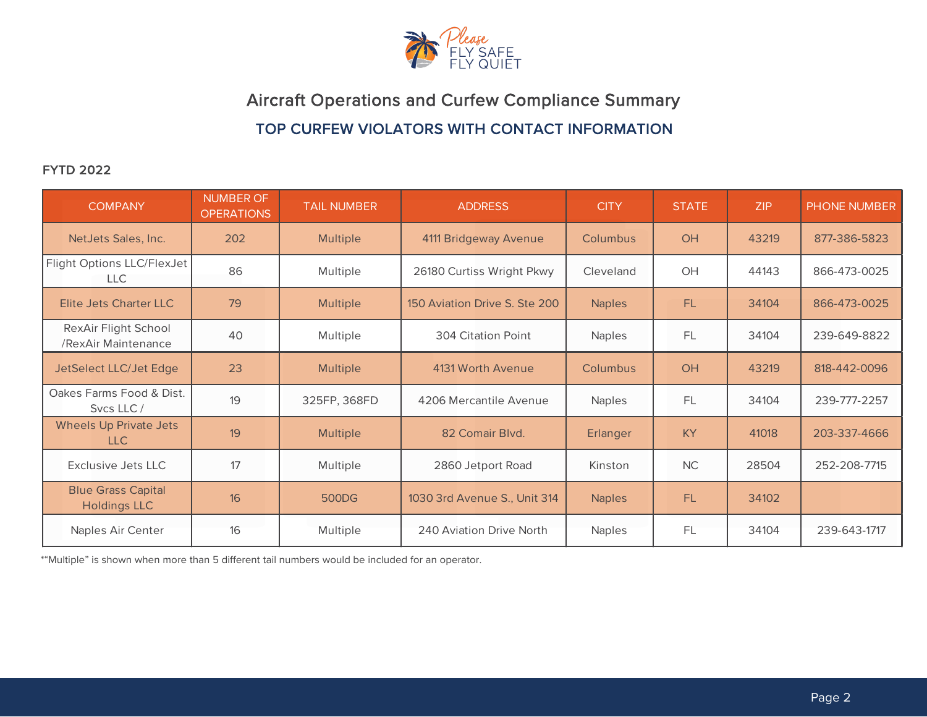

Aircraft Operations and Curfew Compliance Summary TOP CURFEW VIOLATORS WITH CONTACT INFORMATION

## FYTD 2022

| <b>COMPANY</b>                                   | <b>NUMBER OF</b><br><b>OPERATIONS</b> | <b>TAIL NUMBER</b> | <b>ADDRESS</b>                | <b>CITY</b>   | <b>STATE</b> | ZIP   | PHONE NUMBER |
|--------------------------------------------------|---------------------------------------|--------------------|-------------------------------|---------------|--------------|-------|--------------|
| NetJets Sales, Inc.                              | 202                                   | <b>Multiple</b>    | 4111 Bridgeway Avenue         | Columbus      | OH           | 43219 | 877-386-5823 |
| Flight Options LLC/FlexJet<br><b>LLC</b>         | 86                                    | Multiple           | 26180 Curtiss Wright Pkwy     | Cleveland     | OH           | 44143 | 866-473-0025 |
| Elite Jets Charter LLC                           | 79                                    | <b>Multiple</b>    | 150 Aviation Drive S. Ste 200 | <b>Naples</b> | FL           | 34104 | 866-473-0025 |
| RexAir Flight School<br>/RexAir Maintenance      | 40                                    | Multiple           | 304 Citation Point            | <b>Naples</b> | FL           | 34104 | 239-649-8822 |
| JetSelect LLC/Jet Edge                           | 23                                    | <b>Multiple</b>    | 4131 Worth Avenue             | Columbus      | OH           | 43219 | 818-442-0096 |
| Oakes Farms Food & Dist.<br>Sycs LLC/            | 19                                    | 325FP, 368FD       | 4206 Mercantile Avenue        | <b>Naples</b> | FL           | 34104 | 239-777-2257 |
| <b>Wheels Up Private Jets</b><br><b>LLC</b>      | 19                                    | <b>Multiple</b>    | 82 Comair Blvd.               | Erlanger      | <b>KY</b>    | 41018 | 203-337-4666 |
| Exclusive Jets LLC                               | 17                                    | Multiple           | 2860 Jetport Road             | Kinston       | <b>NC</b>    | 28504 | 252-208-7715 |
| <b>Blue Grass Capital</b><br><b>Holdings LLC</b> | 16                                    | 500DG              | 1030 3rd Avenue S., Unit 314  | <b>Naples</b> | FL           | 34102 |              |
| Naples Air Center                                | 16                                    | Multiple           | 240 Aviation Drive North      | <b>Naples</b> | FL           | 34104 | 239-643-1717 |

\*"Multiple" is shown when more than 5 different tail numbers would be included for an operator.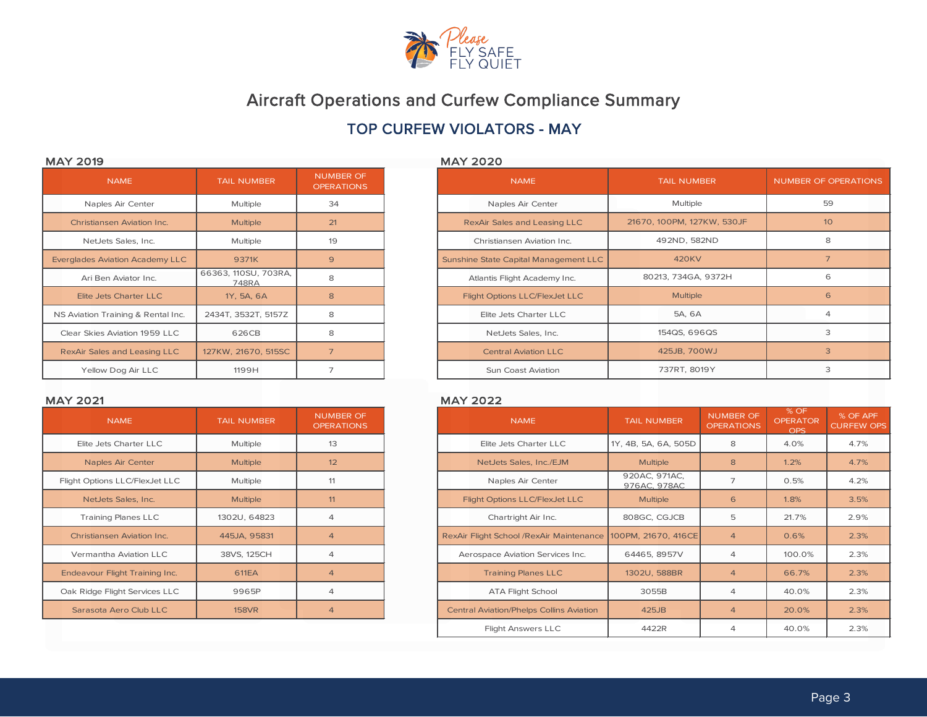

## TOP CURFEW VIOLATORS - MAY

### MAY 2019 MAY 2020

| <b>NAME</b>                            | <b>TAIL NUMBER</b>            | <b>NUMBER OF</b><br><b>OPERATIONS</b> |
|----------------------------------------|-------------------------------|---------------------------------------|
| Naples Air Center                      | Multiple                      | 34                                    |
| <b>Christiansen Aviation Inc.</b>      | <b>Multiple</b>               | 21                                    |
| NetJets Sales, Inc.                    | Multiple                      | 19                                    |
| <b>Everglades Aviation Academy LLC</b> | 9371K                         | 9                                     |
| Ari Ben Aviator Inc.                   | 66363, 110SU, 703RA,<br>748RA | 8                                     |
| <b>Elite Jets Charter LLC</b>          | 1Y, 5A, 6A                    | 8                                     |
| NS Aviation Training & Rental Inc.     | 2434T, 3532T, 5157Z           | 8                                     |
| Clear Skies Aviation 1959 LLC          | 626CB                         | 8                                     |
| <b>RexAir Sales and Leasing LLC</b>    | 127KW, 21670, 515SC           | $\overline{7}$                        |
| Yellow Dog Air LLC                     | 1199H                         | 7                                     |

| <b>NUMBER OF</b><br><b>OPERATIONS</b> | <b>NAME</b>                           | <b>TAIL NUMBER</b>         | NUMBER OF OPERATIONS |
|---------------------------------------|---------------------------------------|----------------------------|----------------------|
| 34                                    | Naples Air Center                     | Multiple                   | 59                   |
| 21                                    | RexAir Sales and Leasing LLC          | 21670, 100PM, 127KW, 530JF | 10 <sup>°</sup>      |
| 19                                    | Christiansen Aviation Inc.            | 492ND, 582ND               | 8                    |
| 9                                     | Sunshine State Capital Management LLC | <b>420KV</b>               | $\overline{7}$       |
| 8                                     | Atlantis Flight Academy Inc.          | 80213, 734GA, 9372H        | 6                    |
| 8                                     | Flight Options LLC/FlexJet LLC        | <b>Multiple</b>            | 6                    |
| 8                                     | Elite Jets Charter LLC                | 5A, 6A                     | $\overline{4}$       |
| 8                                     | NetJets Sales, Inc.                   | 154QS, 696QS               | 3                    |
| $\overline{7}$                        | <b>Central Aviation LLC</b>           | 425JB, 700WJ               | 3                    |
| 7                                     | Sun Coast Aviation                    | 737RT, 8019Y               | 3                    |

### MAY 2021 MAY 2022

| <b>NUMBER OF</b><br><b>OPERATIONS</b> | <b>TAIL NUMBER</b> | <b>NAME</b>                       |
|---------------------------------------|--------------------|-----------------------------------|
| 13                                    | Multiple           | Elite Jets Charter LLC            |
| 12                                    | <b>Multiple</b>    | Naples Air Center                 |
| 11                                    | Multiple           | Flight Options LLC/FlexJet LLC    |
| 11                                    | <b>Multiple</b>    | NetJets Sales, Inc.               |
| 4                                     | 1302U, 64823       | <b>Training Planes LLC</b>        |
| $\overline{4}$                        | 445JA, 95831       | <b>Christiansen Aviation Inc.</b> |
| 4                                     | 38VS, 125CH        | Vermantha Aviation LLC            |
| $\overline{4}$                        | <b>611EA</b>       | Endeavour Flight Training Inc.    |
| 4                                     | 9965P              | Oak Ridge Flight Services LLC     |
| $\overline{4}$                        | <b>158VR</b>       | Sarasota Aero Club LLC            |

| <b>NAME</b>                    | <b>TAIL NUMBER</b> | <b>NUMBER OF</b><br><b>OPERATIONS</b> | <b>NAME</b>                                     | <b>TAIL NUMBER</b>            | <b>NUMBER OF</b><br><b>OPERATIONS</b> | % OF<br><b>OPERATOR</b><br><b>OPS</b> | % OF APF<br><b>CURFEW OPS</b> |
|--------------------------------|--------------------|---------------------------------------|-------------------------------------------------|-------------------------------|---------------------------------------|---------------------------------------|-------------------------------|
| Elite Jets Charter LLC         | Multiple           | 13                                    | Elite Jets Charter LLC                          | 1Y, 4B, 5A, 6A, 505D          | 8                                     | 4.0%                                  | 4.7%                          |
| Naples Air Center              | <b>Multiple</b>    | 12                                    | NetJets Sales, Inc./EJM                         | <b>Multiple</b>               | 8                                     | 1.2%                                  | 4.7%                          |
| Flight Options LLC/FlexJet LLC | Multiple           | 11                                    | Naples Air Center                               | 920AC, 971AC,<br>976AC, 978AC | 7                                     | 0.5%                                  | 4.2%                          |
| NetJets Sales, Inc.            | <b>Multiple</b>    | 11                                    | Flight Options LLC/FlexJet LLC                  | <b>Multiple</b>               | 6                                     | 1.8%                                  | 3.5%                          |
| <b>Training Planes LLC</b>     | 1302U, 64823       | $\overline{4}$                        | Chartright Air Inc.                             | 808GC, CGJCB                  | 5                                     | 21.7%                                 | 2.9%                          |
| Christiansen Aviation Inc.     | 445JA, 95831       | $\overline{4}$                        | RexAir Flight School /RexAir Maintenance        | 100PM, 21670, 416CE           | $\overline{4}$                        | 0.6%                                  | 2.3%                          |
| Vermantha Aviation LLC         | 38VS, 125CH        | $\overline{4}$                        | Aerospace Aviation Services Inc.                | 64465, 8957V                  | $\overline{4}$                        | 100.0%                                | 2.3%                          |
| Endeavour Flight Training Inc. | <b>611EA</b>       | $\overline{4}$                        | <b>Training Planes LLC</b>                      | 1302U, 588BR                  | $\overline{4}$                        | 66.7%                                 | 2.3%                          |
| Oak Ridge Flight Services LLC  | 9965P              | $\overline{4}$                        | <b>ATA Flight School</b>                        | 3055B                         | 4                                     | 40.0%                                 | 2.3%                          |
| Sarasota Aero Club LLC         | <b>158VR</b>       | $\overline{4}$                        | <b>Central Aviation/Phelps Collins Aviation</b> | 425JB                         | $\overline{4}$                        | 20.0%                                 | 2.3%                          |
|                                |                    |                                       | <b>Flight Answers LLC</b>                       | 4422R                         | $\overline{4}$                        | 40.0%                                 | 2.3%                          |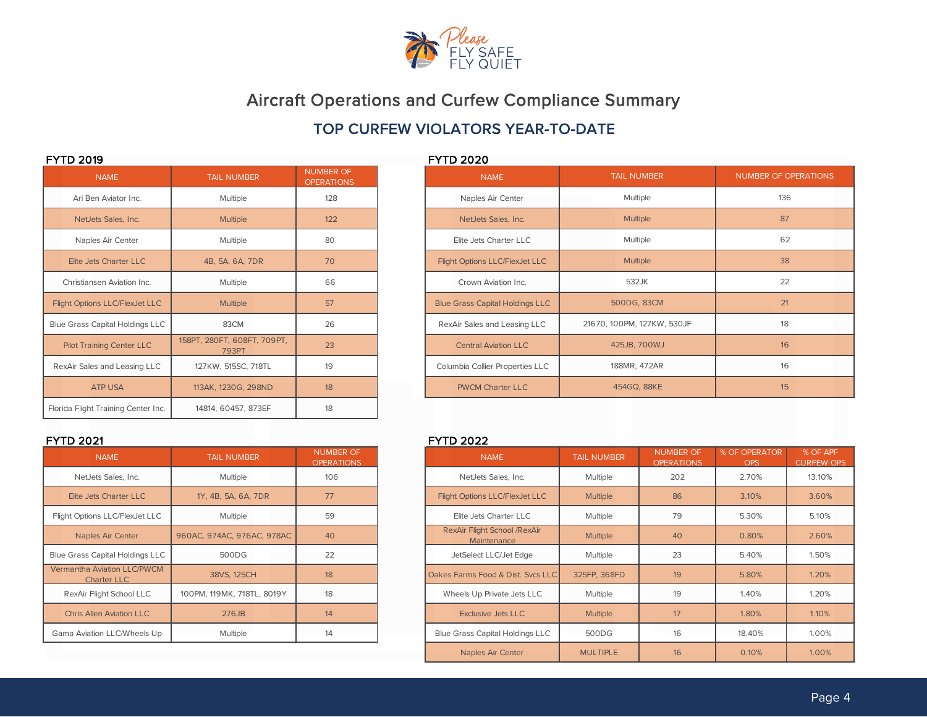

## TOP CURFEW VIOLATORS YEAR-TO-DATE

| <b>NAME</b>                            | <b>TAIL NUMBER</b>                          | <b>NUMBER OF</b><br><b>OPERATIONS</b> | <b>NAME</b>                            |
|----------------------------------------|---------------------------------------------|---------------------------------------|----------------------------------------|
| Ari Ben Aviator Inc.                   | Multiple                                    | 128                                   | Naples Air Center                      |
| NetJets Sales, Inc.                    | <b>Multiple</b>                             | 122                                   | NetJets Sales, Inc.                    |
| Naples Air Center                      | Multiple                                    | 80                                    | Elite Jets Charter LLC                 |
| Elite Jets Charter LLC                 | 4B, 5A, 6A, 7DR                             | 70                                    | Flight Options LLC/FlexJet LLC         |
| Christiansen Aviation Inc.             | Multiple                                    | 66                                    | Crown Aviation Inc.                    |
| <b>Flight Options LLC/FlexJet LLC</b>  | <b>Multiple</b>                             | 57                                    | <b>Blue Grass Capital Holdings LLC</b> |
| <b>Blue Grass Capital Holdings LLC</b> | 83CM                                        | 26                                    | RexAir Sales and Leasing LLC           |
| <b>Pilot Training Center LLC</b>       | 158PT, 280FT, 608FT, 709PT,<br><b>793PT</b> | 23                                    | <b>Central Aviation LLC</b>            |
| RexAir Sales and Leasing LLC           | 127KW, 515SC, 718TL                         | 19                                    | Columbia Collier Properties LLC        |
| <b>ATP USA</b>                         | 113AK, 1230G, 298ND                         | 18                                    | <b>PWCM Charter LLC</b>                |
| Florida Flight Training Center Inc.    | 14814, 60457, 873EF                         | 18                                    |                                        |

| <b>NAME</b>                                              | <b>TAIL NUMBER</b>         | <b>NUMBER OF</b><br><b>OPERATIONS</b> |
|----------------------------------------------------------|----------------------------|---------------------------------------|
| NetJets Sales, Inc.                                      | Multiple                   | 106                                   |
| Elite Jets Charter LLC                                   | 1Y, 4B, 5A, 6A, 7DR        | 77                                    |
| Flight Options LLC/FlexJet LLC                           | Multiple                   | 59                                    |
| Naples Air Center                                        | 960AC, 974AC, 976AC, 978AC | 40                                    |
| <b>Blue Grass Capital Holdings LLC</b>                   | 500DG                      | 22                                    |
| <b>Vermantha Aviation LLC/PWCM</b><br><b>Charter LLC</b> | 38VS, 125CH                | 18                                    |
| RexAir Flight School LLC                                 | 100PM, 119MK, 718TL, 8019Y | 18                                    |
| <b>Chris Allen Aviation LLC</b>                          | 276JB                      | 14                                    |
| Gama Aviation LLC/Wheels Up                              | Multiple                   | 14                                    |

### FYTD 2019 FYTD 2020

| <b>NUMBER OF</b><br><b>OPERATIONS</b> | . <i>.</i><br><b>NAME</b>              | <b>TAIL NUMBER</b>         | <b>NUMBER OF OPERATIONS</b> |
|---------------------------------------|----------------------------------------|----------------------------|-----------------------------|
| 128                                   | Naples Air Center                      | Multiple                   | 136                         |
| 122                                   | NetJets Sales, Inc.                    | <b>Multiple</b>            | 87                          |
| 80                                    | Elite Jets Charter LLC                 | Multiple                   | 62                          |
| 70                                    | Flight Options LLC/FlexJet LLC         | <b>Multiple</b>            | 38                          |
| 66                                    | Crown Aviation Inc.                    | 532JK                      | 22                          |
| 57                                    | <b>Blue Grass Capital Holdings LLC</b> | 500DG, 83CM                | 21                          |
| 26                                    | RexAir Sales and Leasing LLC           | 21670, 100PM, 127KW, 530JF | 18                          |
| 23                                    | <b>Central Aviation LLC</b>            | 425JB, 700WJ               | 16                          |
| 19                                    | Columbia Collier Properties LLC        | 188MR, 472AR               | 16                          |
| 18                                    | <b>PWCM Charter LLC</b>                | 454GQ, 88KE                | 15                          |

### FYTD 2021 FYTD 2022

| <b>NAME</b>                                       | <b>TAIL NUMBER</b>         | <b>NUMBER OF</b><br><b>OPERATIONS</b> |
|---------------------------------------------------|----------------------------|---------------------------------------|
| NetJets Sales, Inc.                               | <b>Multiple</b>            | 106                                   |
| Elite Jets Charter LLC                            | 1Y, 4B, 5A, 6A, 7DR        | 77                                    |
| Flight Options LLC/FlexJet LLC                    | <b>Multiple</b>            | 59                                    |
| <b>Naples Air Center</b>                          | 960AC, 974AC, 976AC, 978AC | 40                                    |
| <b>Blue Grass Capital Holdings LLC</b>            | 500DG                      | 22                                    |
| <b>Vermantha Aviation LLC/PWCM</b><br>Charter LLC | 38VS, 125CH                | 18 <sup>°</sup>                       |
| RexAir Flight School LLC                          | 100PM, 119MK, 718TL, 8019Y | 18                                    |
| <b>Chris Allen Aviation LLC</b>                   | 276JB                      | 14                                    |
| Gama Aviation LLC/Wheels Up                       | Multiple                   | 14                                    |
|                                                   |                            |                                       |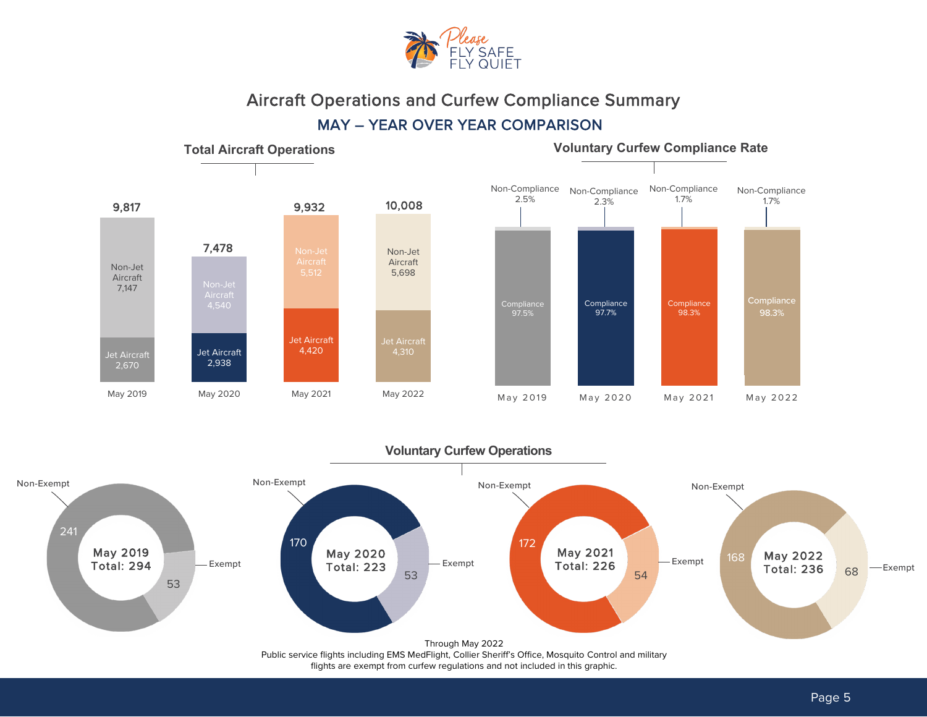



## MAY – YEAR OVER YEAR COMPARISON

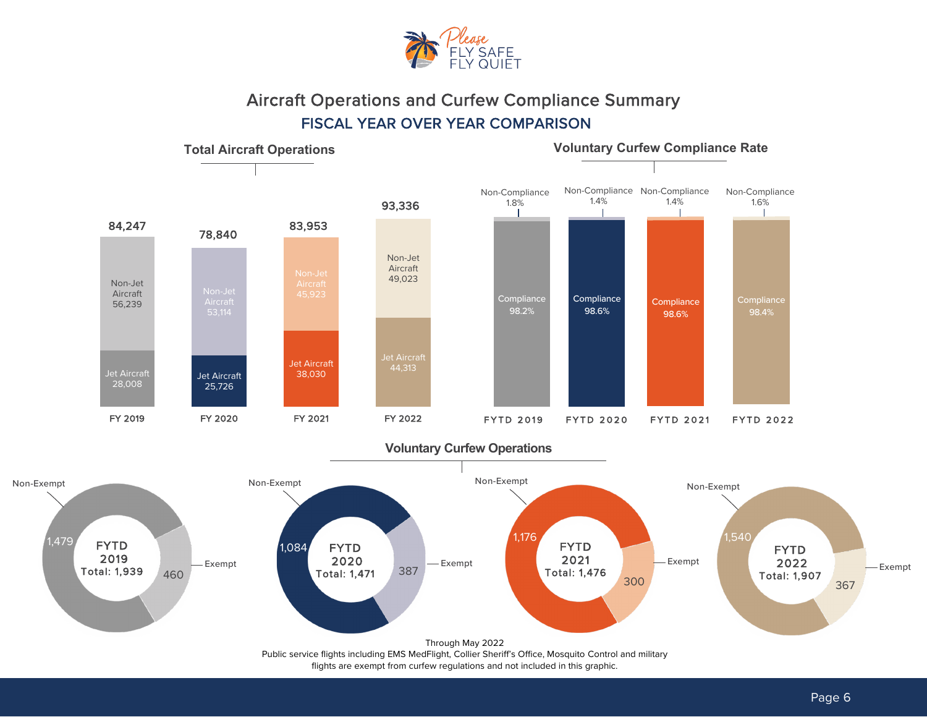

# Aircraft Operations and Curfew Compliance Summary MAY – YEAR OVER YEAR COMPARISON FISCAL YEAR OVER YEAR COMPARISON



Non-Exempt

flights are exempt from curfew regulations and not included in this graphic.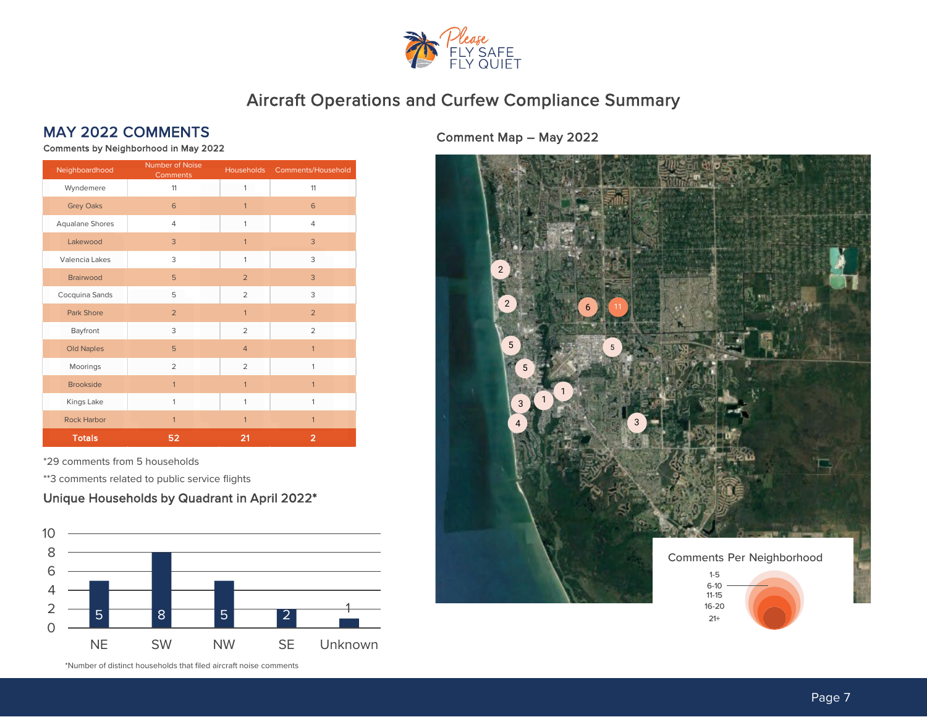

# MAY 2022 COMMENTS Comment Map – May 2022

Comments by Neighborhood in May 2022

| Neighboardhood     | Number of Noise<br>Comments | Households     | Comments/Household |
|--------------------|-----------------------------|----------------|--------------------|
| Wyndemere          | 11                          | 1              | 11                 |
| <b>Grey Oaks</b>   | 6                           | $\mathbf{1}$   | 6                  |
| Aqualane Shores    | 4                           | $\mathbf{1}$   | $\overline{4}$     |
| Lakewood           | 3                           | $\mathbf{1}$   | 3                  |
| Valencia Lakes     | 3                           | $\mathbf{1}$   | 3                  |
| <b>Brairwood</b>   | 5                           | $\overline{2}$ | 3                  |
| Cocquina Sands     | 5                           | $\overline{2}$ | 3                  |
| <b>Park Shore</b>  | $\overline{2}$              | $\mathbf{1}$   | $\overline{2}$     |
| Bayfront           | 3                           | $\overline{2}$ | $\overline{2}$     |
| <b>Old Naples</b>  | 5                           | $\overline{4}$ | $\overline{1}$     |
| Moorings           | $\overline{2}$              | $\overline{2}$ | $\mathbf{1}$       |
| <b>Brookside</b>   | $\mathbf{1}$                | $\mathbf{1}$   | $\mathbf{1}$       |
| Kings Lake         | $\mathbf{1}$                | $\mathbf{1}$   | 1                  |
| <b>Rock Harbor</b> | $\mathbf{1}$                | $\mathbf{1}$   | $\mathbf{1}$       |
| <b>Totals</b>      | 52                          | 21             | $\overline{2}$     |

\*29 comments from 5 households

\*\*3 comments related to public service flights

### Unique Households by Quadrant in April 2022\*



\*Number of distinct households that filed aircraft noise comments

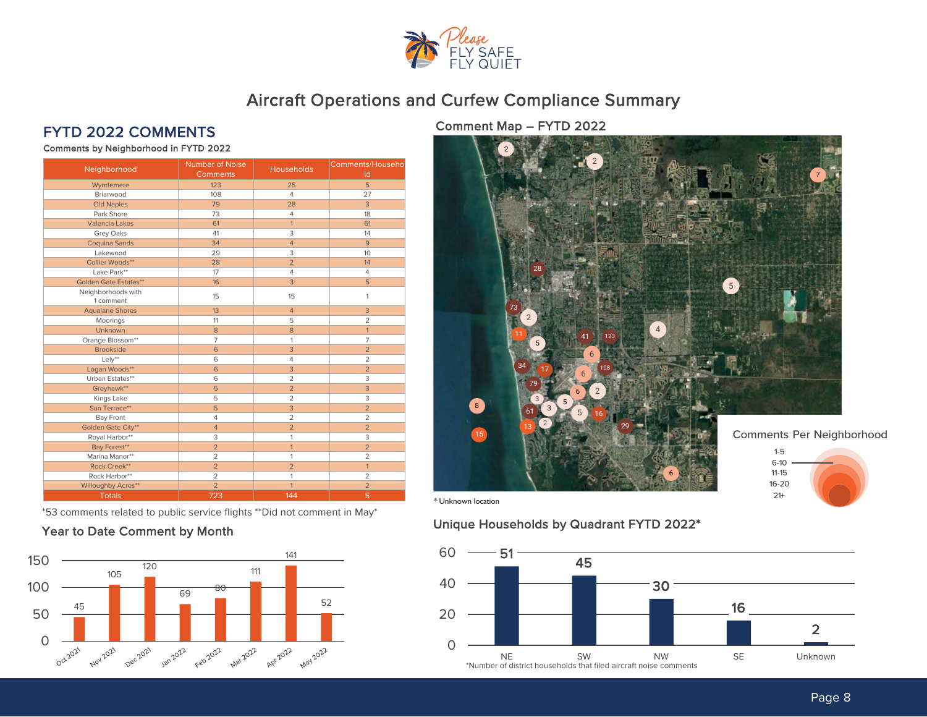

Comments by Neighborhood in FYTD 2022

| Neighborhood                    | Number of Noise<br><b>Comments</b> | <b>Households</b> | Comments/Househo<br>Id |
|---------------------------------|------------------------------------|-------------------|------------------------|
| Wyndemere                       | 123                                | 25                | 5                      |
| Briarwood                       | 108                                | $\overline{4}$    | 27                     |
| <b>Old Naples</b>               | 79                                 | 28                | 3                      |
| Park Shore                      | 73                                 | $\overline{4}$    | 18                     |
| <b>Valencia Lakes</b>           | 61                                 | $\mathbf{1}$      | 61                     |
| Grey Oaks                       | 41                                 | 3                 | 14                     |
| <b>Coquina Sands</b>            | 34                                 | $\overline{4}$    | 9                      |
| Lakewood                        | 29                                 | 3                 | 10                     |
| Collier Woods**                 | 28                                 | $\overline{2}$    | 14                     |
| Lake Park**                     | 17                                 | 4                 | $\overline{4}$         |
| <b>Golden Gate Estates**</b>    | 16                                 | 3                 | 5                      |
| Neighborhoods with<br>1 comment | 15                                 | 15                | $\mathbf{1}$           |
| <b>Aqualane Shores</b>          | 13                                 | $\overline{4}$    | 3                      |
| Moorings                        | 11                                 | 5                 | $\overline{2}$         |
| <b>Unknown</b>                  | 8                                  | 8                 | $\mathbf{1}$           |
| Orange Blossom**                | $\overline{7}$                     | 1                 | $\overline{7}$         |
| <b>Brookside</b>                | 6                                  | $\overline{3}$    | $\overline{2}$         |
| Lely**                          | 6                                  | $\overline{4}$    | $\overline{2}$         |
| Logan Woods**                   | 6                                  | 3                 | $\overline{2}$         |
| Urban Estates**                 | 6                                  | $\overline{2}$    | 3                      |
| Greyhawk**                      | 5                                  | $\overline{2}$    | 3                      |
| Kings Lake                      | 5                                  | $\overline{2}$    | 3                      |
| Sun Terrace**                   | 5                                  | 3                 | $\overline{2}$         |
| <b>Bay Front</b>                | $\overline{4}$                     | $\overline{2}$    | $\overline{2}$         |
| Golden Gate City**              | $\overline{4}$                     | $\overline{2}$    | $\overline{2}$         |
| Royal Harbor**                  | 3                                  | $\mathbf{1}$      | 3                      |
| Bay Forest**                    | $\overline{2}$                     | $\overline{1}$    | $\overline{2}$         |
| Marina Manor**                  | $\overline{2}$                     | 1                 | $\overline{a}$         |
| Rock Creek**                    | $\overline{2}$                     | $\overline{2}$    | $\mathbf{1}$           |
| Rock Harbor**                   | $\overline{2}$                     | $\mathbf{1}$      | $\overline{2}$         |
| <b>Willoughby Acres**</b>       | $\overline{2}$                     | $\overline{1}$    | $\overline{2}$         |
| <b>Totals</b>                   | 723                                | 144               | 5                      |

\*53 comments related to public service flights \*\*Did not comment in May\*

### Year to Date Comment by Month



FYTD 2022 COMMENTS Comment Map – FYTD 2022



## Unique Households by Quadrant FYTD 2022\*

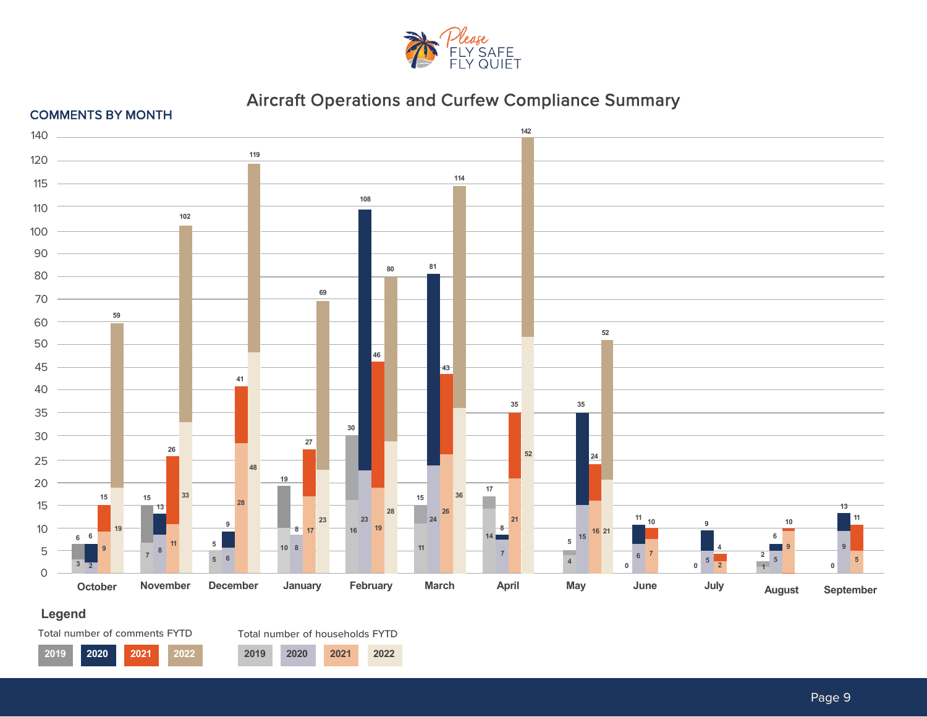



### **Legend**



Total number of households FYTD

**2020 2021 2022 2019 2020 2021 2022**